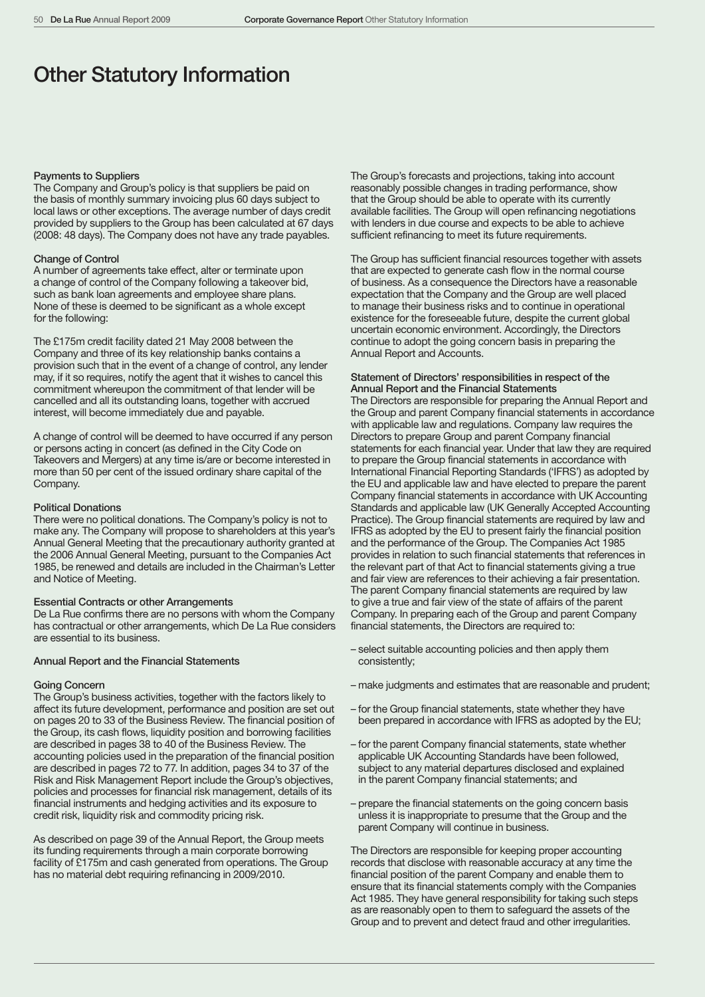# Other Statutory Information

#### Payments to Suppliers

The Company and Group's policy is that suppliers be paid on the basis of monthly summary invoicing plus 60 days subject to local laws or other exceptions. The average number of days credit provided by suppliers to the Group has been calculated at 67 days (2008: 48 days). The Company does not have any trade payables.

#### Change of Control

A number of agreements take effect, alter or terminate upon a change of control of the Company following a takeover bid, such as bank loan agreements and employee share plans. None of these is deemed to be significant as a whole except for the following:

The £175m credit facility dated 21 May 2008 between the Company and three of its key relationship banks contains a provision such that in the event of a change of control, any lender may, if it so requires, notify the agent that it wishes to cancel this commitment whereupon the commitment of that lender will be cancelled and all its outstanding loans, together with accrued interest, will become immediately due and payable.

A change of control will be deemed to have occurred if any person or persons acting in concert (as defined in the City Code on Takeovers and Mergers) at any time is/are or become interested in more than 50 per cent of the issued ordinary share capital of the Company.

#### Political Donations

There were no political donations. The Company's policy is not to make any. The Company will propose to shareholders at this year's Annual General Meeting that the precautionary authority granted at the 2006 Annual General Meeting, pursuant to the Companies Act 1985, be renewed and details are included in the Chairman's Letter and Notice of Meeting.

# Essential Contracts or other Arrangements

De La Rue confirms there are no persons with whom the Company has contractual or other arrangements, which De La Rue considers are essential to its business.

#### Annual Report and the Financial Statements

#### Going Concern

The Group's business activities, together with the factors likely to affect its future development, performance and position are set out on pages 20 to 33 of the Business Review. The financial position of the Group, its cash flows, liquidity position and borrowing facilities are described in pages 38 to 40 of the Business Review. The accounting policies used in the preparation of the financial position are described in pages 72 to 77. In addition, pages 34 to 37 of the Risk and Risk Management Report include the Group's objectives, policies and processes for financial risk management, details of its financial instruments and hedging activities and its exposure to credit risk, liquidity risk and commodity pricing risk.

As described on page 39 of the Annual Report, the Group meets its funding requirements through a main corporate borrowing facility of £175m and cash generated from operations. The Group has no material debt requiring refinancing in 2009/2010.

The Group's forecasts and projections, taking into account reasonably possible changes in trading performance, show that the Group should be able to operate with its currently available facilities. The Group will open refinancing negotiations with lenders in due course and expects to be able to achieve sufficient refinancing to meet its future requirements.

The Group has sufficient financial resources together with assets that are expected to generate cash flow in the normal course of business. As a consequence the Directors have a reasonable expectation that the Company and the Group are well placed to manage their business risks and to continue in operational existence for the foreseeable future, despite the current global uncertain economic environment. Accordingly, the Directors continue to adopt the going concern basis in preparing the Annual Report and Accounts.

## Statement of Directors' responsibilities in respect of the Annual Report and the Financial Statements

The Directors are responsible for preparing the Annual Report and the Group and parent Company financial statements in accordance with applicable law and regulations. Company law requires the Directors to prepare Group and parent Company financial statements for each financial year. Under that law they are required to prepare the Group financial statements in accordance with International Financial Reporting Standards ('IFRS') as adopted by the EU and applicable law and have elected to prepare the parent Company financial statements in accordance with UK Accounting Standards and applicable law (UK Generally Accepted Accounting Practice). The Group financial statements are required by law and IFRS as adopted by the EU to present fairly the financial position and the performance of the Group. The Companies Act 1985 provides in relation to such financial statements that references in the relevant part of that Act to financial statements giving a true and fair view are references to their achieving a fair presentation. The parent Company financial statements are required by law to give a true and fair view of the state of affairs of the parent Company. In preparing each of the Group and parent Company financial statements, the Directors are required to:

- select suitable accounting policies and then apply them consistently;
- make judgments and estimates that are reasonable and prudent;
- for the Group financial statements, state whether they have been prepared in accordance with IFRS as adopted by the EU;
- for the parent Company financial statements, state whether applicable UK Accounting Standards have been followed, subject to any material departures disclosed and explained in the parent Company financial statements; and
- prepare the financial statements on the going concern basis unless it is inappropriate to presume that the Group and the parent Company will continue in business.

The Directors are responsible for keeping proper accounting records that disclose with reasonable accuracy at any time the financial position of the parent Company and enable them to ensure that its financial statements comply with the Companies Act 1985. They have general responsibility for taking such steps as are reasonably open to them to safeguard the assets of the Group and to prevent and detect fraud and other irregularities.